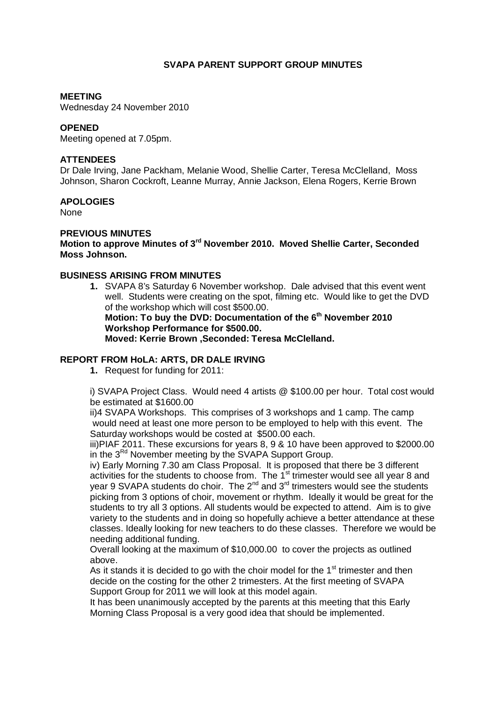# **SVAPA PARENT SUPPORT GROUP MINUTES**

### **MEETING**

Wednesday 24 November 2010

### **OPENED**

Meeting opened at 7.05pm.

## **ATTENDEES**

Dr Dale Irving, Jane Packham, Melanie Wood, Shellie Carter, Teresa McClelland, Moss Johnson, Sharon Cockroft, Leanne Murray, Annie Jackson, Elena Rogers, Kerrie Brown

## **APOLOGIES**

None

# **PREVIOUS MINUTES**

**Motion to approve Minutes of 3rd November 2010. Moved Shellie Carter, Seconded Moss Johnson.** 

#### **BUSINESS ARISING FROM MINUTES**

**1.** SVAPA 8's Saturday 6 November workshop. Dale advised that this event went well. Students were creating on the spot, filming etc. Would like to get the DVD of the workshop which will cost \$500.00.

**Motion: To buy the DVD: Documentation of the 6th November 2010 Workshop Performance for \$500.00. Moved: Kerrie Brown ,Seconded: Teresa McClelland.** 

# **REPORT FROM HoLA: ARTS, DR DALE IRVING**

**1.** Request for funding for 2011:

i) SVAPA Project Class. Would need 4 artists @ \$100.00 per hour. Total cost would be estimated at \$1600.00

 ii)4 SVAPA Workshops. This comprises of 3 workshops and 1 camp. The camp would need at least one more person to be employed to help with this event. The Saturday workshops would be costed at \$500.00 each.

iii)PIAF 2011. These excursions for years 8, 9 & 10 have been approved to \$2000.00 in the  $3^{Rd}$  November meeting by the SVAPA Support Group.

iv) Early Morning 7.30 am Class Proposal. It is proposed that there be 3 different activities for the students to choose from. The 1<sup>st</sup> trimester would see all year 8 and year 9 SVAPA students do choir. The 2<sup>nd</sup> and 3<sup>rd</sup> trimesters would see the students picking from 3 options of choir, movement or rhythm. Ideally it would be great for the students to try all 3 options. All students would be expected to attend. Aim is to give variety to the students and in doing so hopefully achieve a better attendance at these classes. Ideally looking for new teachers to do these classes. Therefore we would be needing additional funding.

Overall looking at the maximum of \$10,000.00 to cover the projects as outlined above.

As it stands it is decided to go with the choir model for the  $1<sup>st</sup>$  trimester and then decide on the costing for the other 2 trimesters. At the first meeting of SVAPA Support Group for 2011 we will look at this model again.

It has been unanimously accepted by the parents at this meeting that this Early Morning Class Proposal is a very good idea that should be implemented.